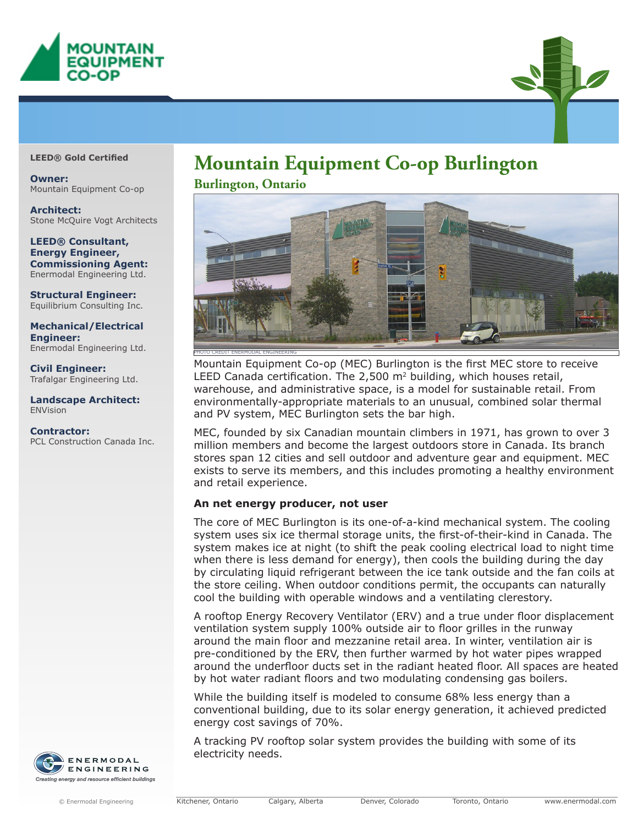



**Owner:**  Mountain Equipment Co-op

**Architect:**  Stone McQuire Vogt Architects

#### **LEED® Consultant, Energy Engineer, Commissioning Agent:**  Enermodal Engineering Ltd.

**Structural Engineer:**  Equilibrium Consulting Inc.

**Mechanical/Electrical Engineer:**  Enermodal Engineering Ltd.

**Civil Engineer:**  Trafalgar Engineering Ltd.

**Landscape Architect:**  ENVision

**Contractor:**  PCL Construction Canada Inc.



# **Mountain Equipment Co-op Burlington LEED® Gold Certified**

**Burlington, Ontario**



Mountain Equipment Co-op (MEC) Burlington is the first MEC store to receive LEED Canada certification. The 2,500  $m<sup>2</sup>$  building, which houses retail, warehouse, and administrative space, is a model for sustainable retail. From environmentally-appropriate materials to an unusual, combined solar thermal and PV system, MEC Burlington sets the bar high.

MEC, founded by six Canadian mountain climbers in 1971, has grown to over 3 million members and become the largest outdoors store in Canada. Its branch stores span 12 cities and sell outdoor and adventure gear and equipment. MEC exists to serve its members, and this includes promoting a healthy environment and retail experience.

# **An net energy producer, not user**

The core of MEC Burlington is its one-of-a-kind mechanical system. The cooling system uses six ice thermal storage units, the first-of-their-kind in Canada. The system makes ice at night (to shift the peak cooling electrical load to night time when there is less demand for energy), then cools the building during the day by circulating liquid refrigerant between the ice tank outside and the fan coils at the store ceiling. When outdoor conditions permit, the occupants can naturally cool the building with operable windows and a ventilating clerestory.

A rooftop Energy Recovery Ventilator (ERV) and a true under floor displacement ventilation system supply 100% outside air to floor grilles in the runway around the main floor and mezzanine retail area. In winter, ventilation air is pre-conditioned by the ERV, then further warmed by hot water pipes wrapped around the underfloor ducts set in the radiant heated floor. All spaces are heated by hot water radiant floors and two modulating condensing gas boilers.

While the building itself is modeled to consume 68% less energy than a conventional building, due to its solar energy generation, it achieved predicted energy cost savings of 70%.

A tracking PV rooftop solar system provides the building with some of its electricity needs.